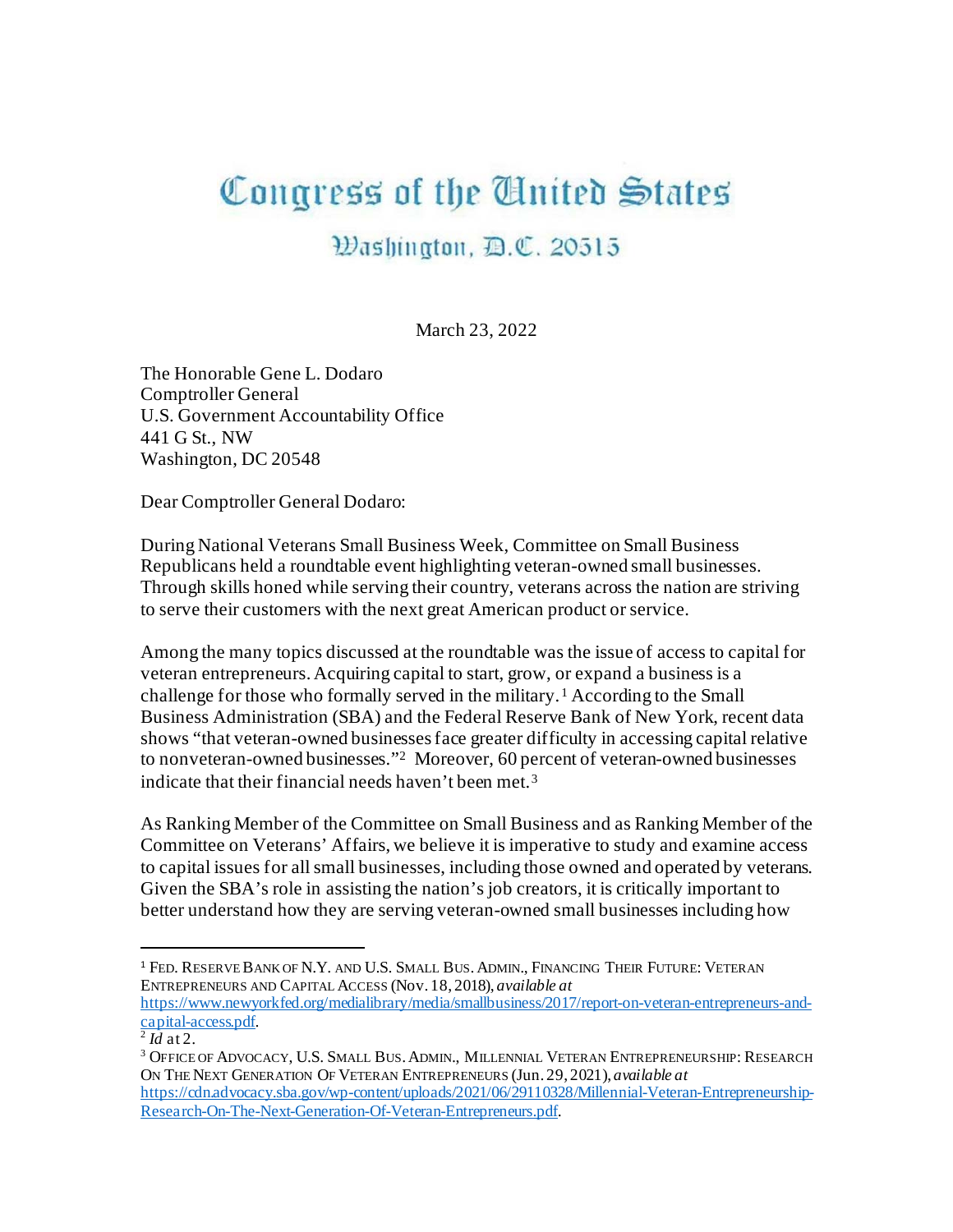## Congress of the United States

## Washington, D.C. 20515

March 23, 2022

The Honorable Gene L. Dodaro Comptroller General U.S. Government Accountability Office 441 G St., NW Washington, DC 20548

Dear Comptroller General Dodaro:

During National Veterans Small Business Week, Committee on Small Business Republicans held a roundtable event highlighting veteran-owned small businesses. Through skills honed while serving their country, veterans across the nation are striving to serve their customers with the next great American product or service.

Among the many topics discussed at the roundtable was the issue of access to capital for veteran entrepreneurs. Acquiring capital to start, grow, or expand a business is a challenge for those who formally served in the military. [1](#page-0-0) According to the Small Business Administration (SBA) and the Federal Reserve Bank of New York, recent data shows "that veteran-owned businesses face greater difficulty in accessing capital relative to nonveteran-owned businesses."[2](#page-0-1) Moreover, 60 percent of veteran-owned businesses indicate that their financial needs haven't been met.[3](#page-0-2) 

As Ranking Member of the Committee on Small Business and as Ranking Member of the Committee on Veterans' Affairs, we believe it is imperative to study and examine access to capital issues for all small businesses, including those owned and operated by veterans. Given the SBA's role in assisting the nation's job creators, it is critically important to better understand how they are serving veteran-owned small businesses including how

[https://www.newyorkfed.org/medialibrary/media/smallbusiness/2017/report-on-veteran-entrepreneurs-and](https://www.newyorkfed.org/medialibrary/media/smallbusiness/2017/report-on-veteran-entrepreneurs-and-capital-access.pdf)[capital-access.pdf](https://www.newyorkfed.org/medialibrary/media/smallbusiness/2017/report-on-veteran-entrepreneurs-and-capital-access.pdf). [2](https://www.newyorkfed.org/medialibrary/media/smallbusiness/2017/report-on-veteran-entrepreneurs-and-capital-access.pdf) *Id* at 2.

<span id="page-0-0"></span><sup>&</sup>lt;sup>1</sup> FED. RESERVE BANK OF N.Y. AND U.S. SMALL BUS. ADMIN., FINANCING THEIR FUTURE: VETERAN ENTREPRENEURS AND CAPITAL ACCESS (Nov. 18, 2018), *available at* 

<span id="page-0-2"></span><span id="page-0-1"></span><sup>&</sup>lt;sup>3</sup> OFFICE OF ADVOCACY, U.S. SMALL BUS. ADMIN., MILLENNIAL VETERAN ENTREPRENEURSHIP: RESEARCH ON THE NEXT GENERATION OF VETERAN ENTREPRENEURS (Jun. 29, 2021), *available at*  [https://cdn.advocacy.sba.gov/wp-content/uploads/2021/06/29110328/Millennial-Veteran-Entrepreneurship-](https://cdn.advocacy.sba.gov/wp-content/uploads/2021/06/29110328/Millennial-Veteran-Entrepreneurship-Research-On-The-Next-Generation-Of-Veteran-Entrepreneurs.pdf)[Research-On-The-Next-Generation-Of-Veteran-Entrepreneurs.pdf](https://cdn.advocacy.sba.gov/wp-content/uploads/2021/06/29110328/Millennial-Veteran-Entrepreneurship-Research-On-The-Next-Generation-Of-Veteran-Entrepreneurs.pdf).